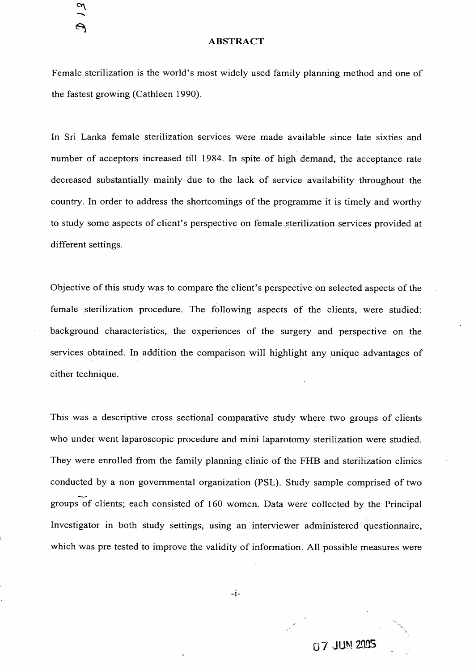## **ABSTRACT**

Female sterilization is the world's most widely used family planning method and one of

the fastest growing (Cathleen 1990).

In Sri Lanka female sterilization services were made available since late sixties and

number of acceptors increased till 1984. In spite of high demand, the acceptance rate

decreased substantially mainly due to the lack of service availability throughout the

country. In order to address the shortcomings of the programme it is timely and worthy

to study some aspects of client's perspective on female .sterilization services provided at

different settings.

 $\mathcal{L}$ 

 $\Theta$ 

Objective of this study was to compare the client's perspective on selected aspects of the

female sterilization procedure. The following aspects of the clients, were studied:

 $-I$ -07 JUM20QS

background characteristics, the experiences of the surgery and perspective on the

services obtained. In addition the comparison will highlight any unique advantages of

This was a descriptive cross sectional comparative study where two groups of clients who under went laparoscopic procedure and mini laparotomy sterilization were studied. They were enrolled from the family planning clinic of the FHB and sterilization clinics conducted by a non governmental organization (PSL). Study sample comprised of two groups of clients; each consisted of 160 women. Data were collected by the Principal Investigator in both study settings, using an interviewer administered questionnaire,

## which was pre tested to improve the validity of information. All possible measures were